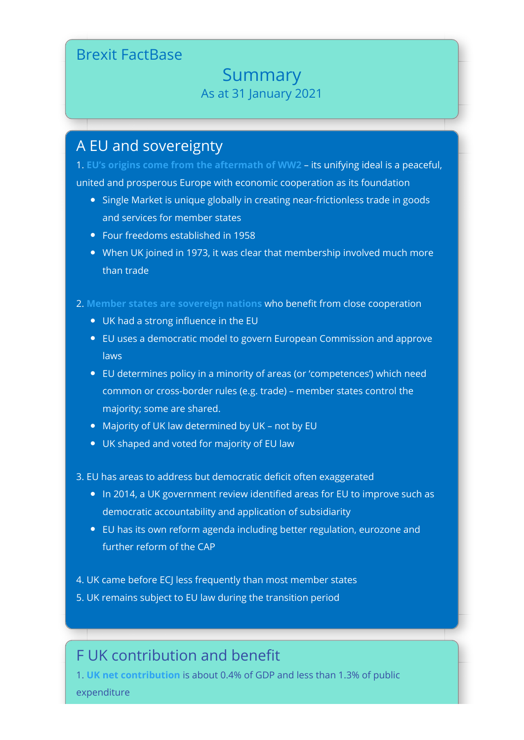## Brexit FactBase

## Summary As at 31 January 2021

## A EU and sovereignty

1. **[EU's origins come from the aftermath of WW2](https://brexitfactbase.com/1-what-is-the-eu/)** – its unifying ideal is a peaceful, united and prosperous Europe with economic cooperation as its foundation

- Single Market is unique globally in creating near-frictionless trade in goods and services for member states
- Four freedoms established in 1958
- When UK joined in 1973, it was clear that membership involved much more than trade
- 2. [Member states are sovereign nations](https://brexitfactbase.com/2-sovereignty-and-law/) who benefit from close cooperation
	- UK had a strong influence in the EU
	- EU uses a democratic model to govern European Commission and approve laws
	- EU determines policy in a minority of areas (or 'competences') which need common or cross-border rules (e.g. trade) – member states control the majority; some are shared.
	- Majority of UK law determined by UK not by EU
	- UK shaped and voted for majority of EU law
- 3. EU has areas to address but democratic deficit often exaggerated
	- In 2014, a UK government review identified areas for EU to improve such as democratic accountability and application of subsidiarity
	- EU has its own reform agenda including better regulation, eurozone and further reform of the CAP
- 4. UK came before ECJ less frequently than most member states
- 5. UK remains subject to EU law during the transition period

## F UK contribution and benefit

1. **[UK net contribution](https://brexitfactbase.com/3-eu-budget-and-uk-contribution/)** is about 0.4% of GDP and less than 1.3% of public expenditure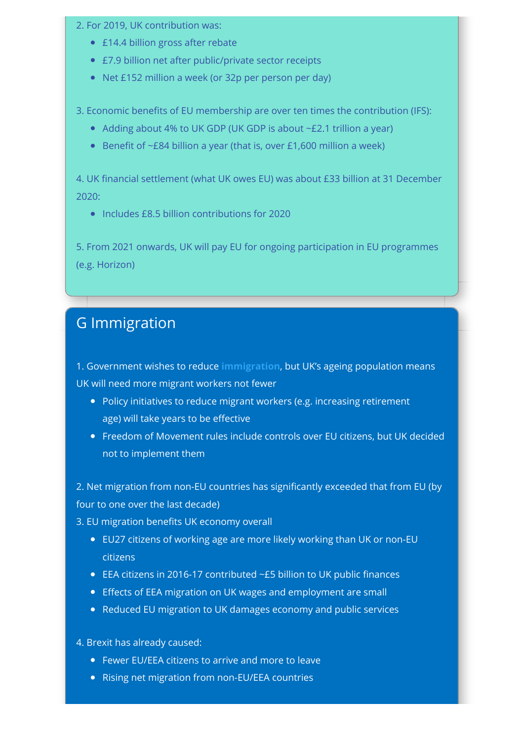- 2. For 2019, UK contribution was:
	- £14.4 billion gross after rebate
	- £7.9 billion net after public/private sector receipts
	- Net £152 million a week (or 32p per person per day)
- 3. Economic benefits of EU membership are over ten times the contribution (IFS):
	- Adding about 4% to UK GDP (UK GDP is about ~£2.1 trillion a year)
	- **•** Benefit of  $-E84$  billion a year (that is, over £1,600 million a week)

4. UK financial settlement (what UK owes EU) was about £33 billion at 31 December 2020:

• Includes £8.5 billion contributions for 2020

5. From 2021 onwards, UK will pay EU for ongoing participation in EU programmes (e.g. Horizon)

# G Immigration

1. Government wishes to reduce **[immigration](https://brexitfactbase.com/6-immigration/)**, but UK's ageing population means UK will need more migrant workers not fewer

- Policy initiatives to reduce migrant workers (e.g. increasing retirement age) will take years to be effective
- Freedom of Movement rules include controls over EU citizens, but UK decided not to implement them

2. Net migration from non-EU countries has significantly exceeded that from EU (by four to one over the last decade)

3. EU migration benefits UK economy overall

- EU27 citizens of working age are more likely working than UK or non-EU citizens
- EEA citizens in 2016-17 contributed  $-E5$  billion to UK public finances
- Effects of EEA migration on UK wages and employment are small
- Reduced EU migration to UK damages economy and public services
- 4. Brexit has already caused:
	- Fewer EU/EEA citizens to arrive and more to leave
	- Rising net migration from non-EU/EEA countries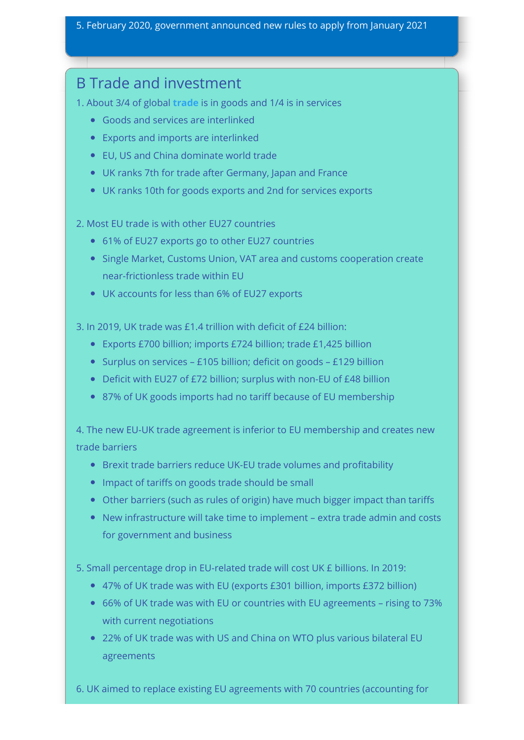### 5. February 2020, government announced new rules to apply from January 2021

## B Trade and investment

1. About 3/4 of global **[trade](https://brexitfactbase.com/5-trade/)** is in goods and 1/4 is in services

- Goods and services are interlinked
- Exports and imports are interlinked
- EU, US and China dominate world trade
- UK ranks 7th for trade after Germany, Japan and France
- UK ranks 10th for goods exports and 2nd for services exports
- 2. Most EU trade is with other EU27 countries
	- 61% of EU27 exports go to other EU27 countries
	- Single Market, Customs Union, VAT area and customs cooperation create near-frictionless trade within EU
	- UK accounts for less than 6% of EU27 exports

3. In 2019, UK trade was £1.4 trillion with deficit of £24 billion:

- Exports £700 billion; imports £724 billion; trade £1,425 billion
- Surplus on services £105 billion; deficit on goods £129 billion
- Deficit with EU27 of £72 billion; surplus with non-EU of £48 billion
- 87% of UK goods imports had no tariff because of EU membership

4. The new EU-UK trade agreement is inferior to EU membership and creates new trade barriers

- **•** Brexit trade barriers reduce UK-EU trade volumes and profitability
- Impact of tariffs on goods trade should be small
- Other barriers (such as rules of origin) have much bigger impact than tariffs
- New infrastructure will take time to implement extra trade admin and costs for government and business

5. Small percentage drop in EU-related trade will cost UK £ billions. In 2019:

- 47% of UK trade was with EU (exports £301 billion, imports £372 billion)
- 66% of UK trade was with EU or countries with EU agreements rising to 73% with current negotiations
- 22% of UK trade was with US and China on WTO plus various bilateral EU agreements

6. UK aimed to replace existing EU agreements with 70 countries (accounting for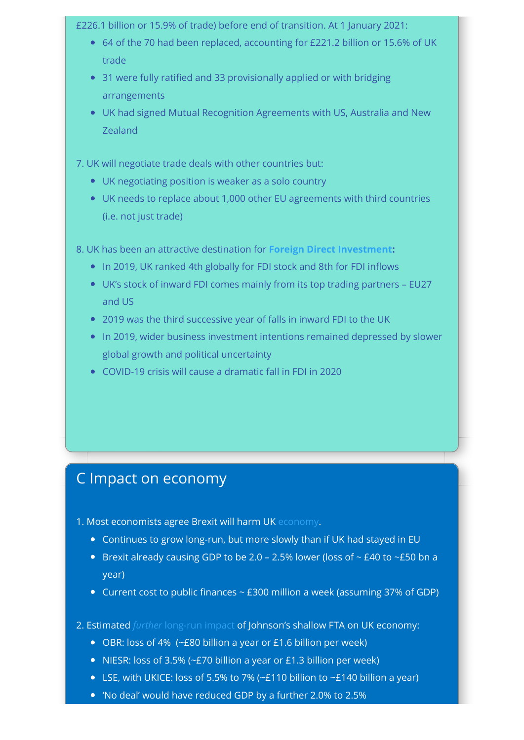### £226.1 billion or 15.9% of trade) before end of transition. At 1 January 2021:

- 64 of the 70 had been replaced, accounting for £221.2 billion or 15.6% of UK trade
- 31 were fully ratified and 33 provisionally applied or with bridging arrangements
- UK had signed Mutual Recognition Agreements with US, Australia and New Zealand
- 7. UK will negotiate trade deals with other countries but:
	- UK negotiating position is weaker as a solo country
	- UK needs to replace about 1,000 other EU agreements with third countries (i.e. not just trade)
- 8. UK has been an attractive destination for **[Foreign Direct Investment:](https://brexitfactbase.com/7-foreign-direct-investment/)**
	- In 2019, UK ranked 4th globally for FDI stock and 8th for FDI inflows
	- UK's stock of inward FDI comes mainly from its top trading partners EU27 and US
	- 2019 was the third successive year of falls in inward FDI to the UK
	- In 2019, wider business investment intentions remained depressed by slower global growth and political uncertainty
	- COVID-19 crisis will cause a dramatic fall in FDI in 2020

# C Impact on economy

- 1. Most economists agree Brexit will harm UK [economy](https://brexitfactbase.com/4-economic-context/).
	- Continues to grow long-run, but more slowly than if UK had stayed in EU
	- Brexit already causing GDP to be 2.0 2.5% lower (loss of  $\sim$  £40 to  $\sim$  £50 bn a year)
	- Current cost to public finances  $\sim$  £300 million a week (assuming 37% of GDP)
- 2. Estimated *further* [long-run impact](https://brexitfactbase.com/8-impact-assessment/) of Johnson's shallow FTA on UK economy:
	- OBR: loss of 4% (~£80 billion a year or £1.6 billion per week)
	- NIESR: loss of 3.5% ( $-£70$  billion a year or  $£1.3$  billion per week)
	- ELSE, with UKICE: loss of 5.5% to 7% (~£110 billion to ~£140 billion a year)
	- 'No deal' would have reduced GDP by a further 2.0% to 2.5%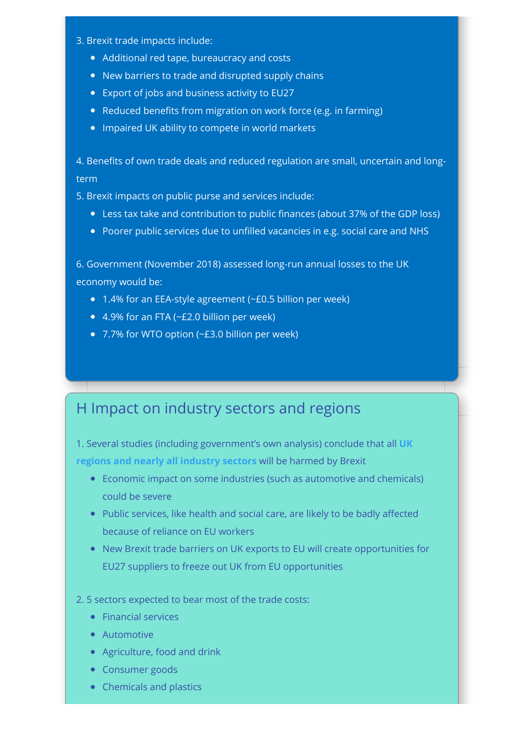- 3. Brexit trade impacts include:
	- Additional red tape, bureaucracy and costs
	- New barriers to trade and disrupted supply chains
	- Export of jobs and business activity to EU27
	- Reduced benefits from migration on work force (e.g. in farming)
	- Impaired UK ability to compete in world markets

4. Benefits of own trade deals and reduced regulation are small, uncertain and longterm

5. Brexit impacts on public purse and services include:

- Less tax take and contribution to public finances (about 37% of the GDP loss)
- Poorer public services due to unfilled vacancies in e.g. social care and NHS

6. Government (November 2018) assessed long-run annual losses to the UK economy would be:

- 1.4% for an EEA-style agreement (~£0.5 billion per week)
- 4.9% for an FTA (~£2.0 billion per week)
- 7.7% for WTO option (~£3.0 billion per week)

## H Impact on industry sectors and regions

[1. Several studies \(including government's own analysis\) conclude that all](https://brexitfactbase.com/8-impact-assessment/) **UK regions and nearly all industry sectors** will be harmed by Brexit

- Economic impact on some industries (such as automotive and chemicals) could be severe
- Public services, like health and social care, are likely to be badly affected because of reliance on EU workers
- New Brexit trade barriers on UK exports to EU will create opportunities for EU27 suppliers to freeze out UK from EU opportunities

#### 2. 5 sectors expected to bear most of the trade costs:

- Financial services
- **Automotive**
- Agriculture, food and drink
- **•** Consumer goods
- Chemicals and plastics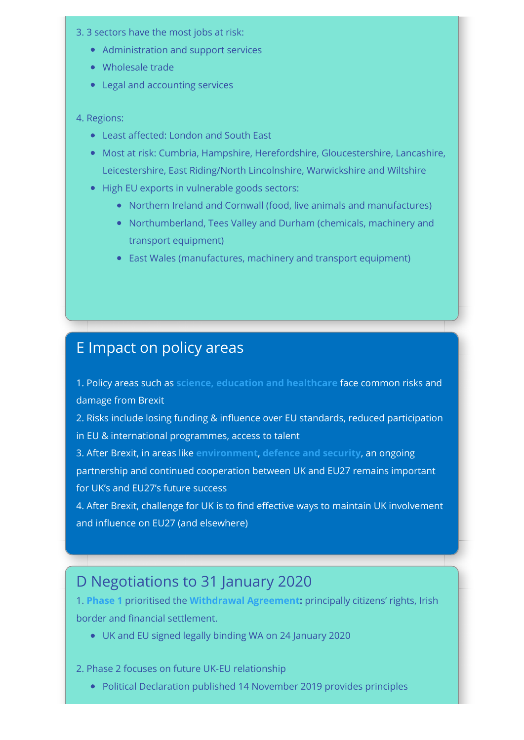- 3. 3 sectors have the most jobs at risk:
	- Administration and support services
	- Wholesale trade
	- Legal and accounting services

### 4. Regions:

- Least affected: London and South East
- Most at risk: Cumbria, Hampshire, Herefordshire, Gloucestershire, Lancashire, Leicestershire, East Riding/North Lincolnshire, Warwickshire and Wiltshire
- High EU exports in vulnerable goods sectors:
	- Northern Ireland and Cornwall (food, live animals and manufactures)
	- Northumberland, Tees Valley and Durham (chemicals, machinery and transport equipment)
	- East Wales (manufactures, machinery and transport equipment)

## E Impact on policy areas

1. Policy areas such as **[science, education and healthcare](https://brexitfactbase.com/10-education-science-and-healthcare/)** face common risks and damage from Brexit

2. Risks include losing funding & influence over EU standards, reduced participation in EU & international programmes, access to talent

3. After Brexit, in areas like **[environment](https://brexitfactbase.com/9-environment-and-climate-change/)**, **[defence and security](https://brexitfactbase.com/11-defence-and-security/)**, an ongoing partnership and continued cooperation between UK and EU27 remains important for UK's and EU27's future success

4. After Brexit, challenge for UK is to find effective ways to maintain UK involvement and influence on EU27 (and elsewhere)

# D Negotiations to 31 January 2020

1. **[Phase 1](https://brexitfactbase.com/13-negotiations/)** prioritised the **[Withdrawal Agreement:](https://brexitfactbase.com/appendices/)** principally citizens' rights, Irish border and financial settlement.

UK and EU signed legally binding WA on 24 January 2020

2. Phase 2 focuses on future UK-EU relationship

Political Declaration published 14 November 2019 provides principles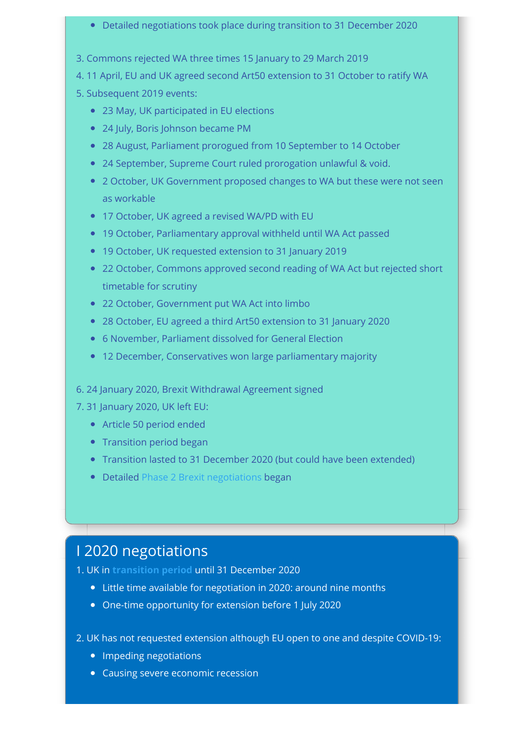### Detailed negotiations took place during transition to 31 December 2020

- 3. Commons rejected WA three times 15 January to 29 March 2019
- 4. 11 April, EU and UK agreed second Art50 extension to 31 October to ratify WA
- 5. Subsequent 2019 events:
	- 23 May, UK participated in EU elections
	- 24 July, Boris Johnson became PM
	- 28 August, Parliament prorogued from 10 September to 14 October
	- 24 September, Supreme Court ruled prorogation unlawful & void.
	- 2 October, UK Government proposed changes to WA but these were not seen as workable
	- 17 October, UK agreed a revised WA/PD with EU
	- 19 October, Parliamentary approval withheld until WA Act passed
	- 19 October, UK requested extension to 31 January 2019
	- 22 October, Commons approved second reading of WA Act but rejected short timetable for scrutiny
	- 22 October, Government put WA Act into limbo
	- 28 October, EU agreed a third Art50 extension to 31 January 2020
	- 6 November, Parliament dissolved for General Election
	- 12 December, Conservatives won large parliamentary majority
- 6. 24 January 2020, Brexit Withdrawal Agreement signed
- 7. 31 January 2020, UK left EU:
	- Article 50 period ended
	- Transition period began
	- Transition lasted to 31 December 2020 (but could have been extended)
	- Detailed [Phase 2 Brexit negotiations](https://brexitfactbase.com/15-what-happens-next/) began

# I 2020 negotiations

- 1. UK in **[transition period](https://brexitfactbase.com/15-what-happens-next/)** until 31 December 2020
	- Little time available for negotiation in 2020: around nine months
	- One-time opportunity for extension before 1 July 2020
- 2. UK has not requested extension although EU open to one and despite COVID-19:
	- Impeding negotiations
	- Causing severe economic recession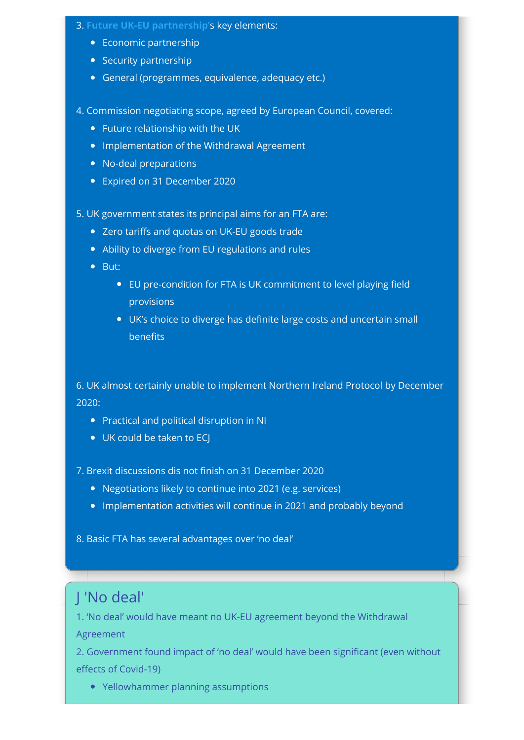### 3. **[Future UK-EU partnership'](https://brexitfactbase.com/15-what-happens-next/)**s key elements:

- Economic partnership
- Security partnership
- General (programmes, equivalence, adequacy etc.)
- 4. Commission negotiating scope, agreed by European Council, covered:
	- Future relationship with the UK
	- Implementation of the Withdrawal Agreement
	- No-deal preparations
	- Expired on 31 December 2020

5. UK government states its principal aims for an FTA are:

- Zero tariffs and quotas on UK-EU goods trade
- Ability to diverge from EU regulations and rules
- $\bullet$  But:
	- EU pre-condition for FTA is UK commitment to level playing field provisions
	- UK's choice to diverge has definite large costs and uncertain small **benefits**

6. UK almost certainly unable to implement Northern Ireland Protocol by December 2020:

- **•** Practical and political disruption in NI
- UK could be taken to ECI

7. Brexit discussions dis not finish on 31 December 2020

- Negotiations likely to continue into 2021 (e.g. services)
- Implementation activities will continue in 2021 and probably beyond

8. Basic FTA has several advantages over 'no deal'

# J 'No deal'

1. 'No deal' would have meant no UK-EU agreement beyond the Withdrawal

Agreement

2. Government found impact of 'no deal' would have been significant (even without effects of Covid-19)

Yellowhammer planning assumptions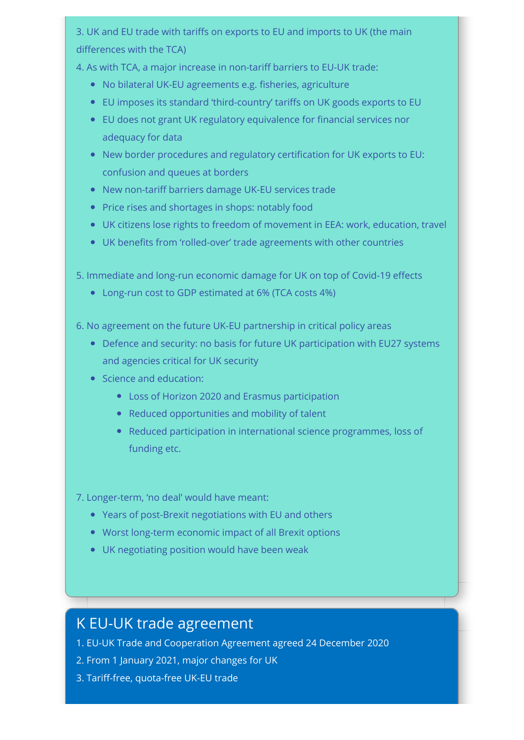3. UK and EU trade with tariffs on exports to EU and imports to UK (the main  $d$  differences with the TCA)

4. As with TCA, a major increase in non-tariff barriers to EU-UK trade:

- No bilateral UK-EU agreements e.g. fisheries, agriculture
- EU imposes its standard 'third-country' tariffs on UK goods exports to EU
- EU does not grant UK regulatory equivalence for financial services nor adequacy for data
- New border procedures and regulatory certification for UK exports to EU: confusion and queues at borders
- New non-tariff barriers damage UK-EU services trade
- Price rises and shortages in shops: notably food
- UK citizens lose rights to freedom of movement in EEA: work, education, travel
- UK benefits from 'rolled-over' trade agreements with other countries

5. Immediate and long-run economic damage for UK on top of Covid-19 effects

- Long-run cost to GDP estimated at 6% (TCA costs 4%)
- 6. No agreement on the future UK-EU partnership in critical policy areas
	- Defence and security: no basis for future UK participation with EU27 systems and agencies critical for UK security
	- Science and education:
		- Loss of Horizon 2020 and Erasmus participation
		- Reduced opportunities and mobility of talent
		- Reduced participation in international science programmes, loss of funding etc.
- 7. Longer-term, 'no deal' would have meant:
	- Years of post-Brexit negotiations with EU and others
	- Worst long-term economic impact of all Brexit options
	- UK negotiating position would have been weak

# K EU-UK trade agreement

- 1. EU-UK Trade and Cooperation Agreement agreed 24 December 2020
- 2. From 1 January 2021, major changes for UK
- 3. Tariff-free, quota-free UK-EU trade